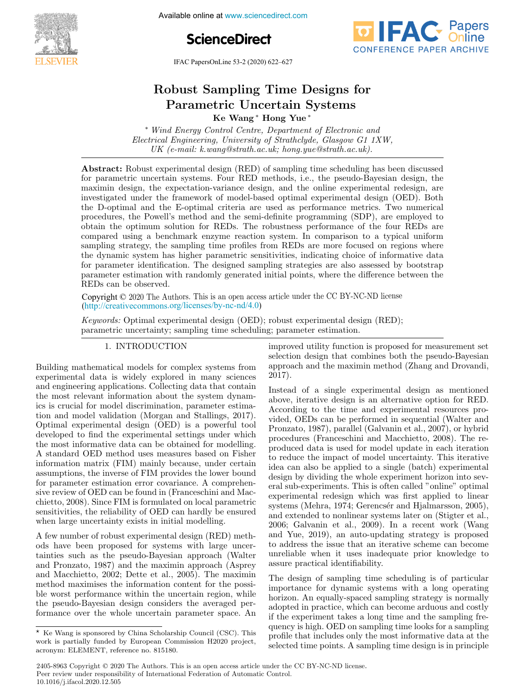

Available online at www.sciencedirect.com





IFAC PapersOnLine 53-2 (2020) 622–627

# obust Sampling Time Designs f Ke Wang ∗ Hong Yue ∗ Ke Wang ∗ Hong Yue ∗ Ke Wang ∗ Hong Yue ∗ Robust Sampling Time Designs for Parametric Uncertain Systems Ke Wang ∗ Hong Yue ∗ Ke Wang ∗ Hong Yue ∗ Parametric Uncertain Systems Robust Sampling Time Designs for

*Wind Energy Control Centre, Department of Electronic and Electrical Engineering, University of Strathclyde, Glasgow G1 1XW,*  $E$ lectrical Engineering, University of Strathclyde, Glasgow G1 1XW, *Lieturical Engineering, University of Britaneigae, Gasgow G1 1XW,*<br>UK (e-mail: k.wang@strath.ac.uk; hong.yue@strath.ac.uk). ∗ Wind Energy Control Centre, Department of Electronic and  $\mathcal{L}(\mathcal{L})$  (example  $\mathcal{L}(\mathcal{L})$ ). Hong. yue as the strath.ac.uk).

Electrical Engineering, University of Strathclyde, Glasgow G1 1XW,

for parametric uncertain systems. Four RED methods, i.e., the pseudo-Bayesian design, the not parametric uncertain systems. Four KED methods, i.e., the pseudo-Dayesian design, the<br>maximin design, the expectation-variance design, and the online experimental redesign, are maximin design, the expectation-variance design, and the online experimental redesign, are<br>investigated under the framework of model-based optimal experimental design (OED). Both<br>the D-optimal and the E-optimal criteria ar investigated under the Hallework of model-based optimal experimental design (OED). Both<br>the D-optimal and the E-optimal criteria are used as performance metrics. Two numerical procedures, the Powell's method and the semi-definite programming (SDP), are employed to obtain the optimum solution for REDs. The robustness performance of the four REDs are contain the optimum solution for rtells. The robustness performance of the four rtells are<br>compared using a benchmark enzyme reaction system. In comparison to a typical uniform<br>sampling strategy the sampling time profiles compared using a benchmark enzyme reaction system. In comparison to a typical uniform<br>sampling strategy, the sampling time profiles from REDs are more focused on regions where<br>the dynamic avidence big big and the strategy sampling strategy, the sampling time promes from REDs are more focused on regions where<br>the dynamic system has higher parametric sensitivities, indicating choice of informative data the dynamic system has inglier parametric sensitivities, indicating choice of miorihative data<br>for parameter identification. The designed sampling strategies are also assessed by bootstrap<br>parameter estimation with randoml parameter deminication. The designed sampling strategies are also assessed by bootstrap<br>parameter estimation with randomly generated initial points, where the difference between the REDs can be observed. UK (e-mail: k.wang@strath.ac.uk; hong.yue@strath.ac.uk). Abstract: Robust experimental design (RED) of sampling time scheduling has been discussed reds can be observed.<br>Parameter estimation with randomly generated in initial points, where the difference between the difference between the difference between the difference between the difference between the difference  $\epsilon$  complies the optimum solution for  $\epsilon$  and  $\epsilon$  are reaction systems. The comparison for the formal for  $\epsilon$  and  $\epsilon$  are  $\epsilon$  the four  $\epsilon$  of  $\epsilon$  and  $\epsilon$  are  $\epsilon$  and  $\epsilon$  are  $\epsilon$  and  $\epsilon$  are  $\epsilon$  and  $\epsilon$  and parameter ratification. The designed sampling strategies are also assessed by bootstrap<br>parameter estimation with randomly generated initial points, where the difference between the  $\theta$  and the D-optimal solution for the E-optimal criteria are used as performance metrics. The companison for a performance metric metric metric metrics. The companison for a performance metric metric metric metrics. The for parameter in parameter in the designed sampling sampling sampling sampling strategies are also assessed by bootstrap and also assessed by bootstrap and also assessed by bootstrap and also assessed by bootstrap and also

Copyright © 2020 The Authors. This is an open access article under the CC BY-NC-ND license (http://creativecommons.org/licenses/by-nc-nd/4.0) Copyright  $\bigcirc$  2020 The At Copyright  $\odot$  2020 The Au Copyright  $\odot$  2020 The Authors. This is an open access article under the CC BY-NC-ND license

Keywords: Optimal experimental design (OED); robust experimental design (RED); negwords. Optimal experimental design (OED), robust experimental design (RED), parametric uncertainty; sampling time scheduling; parameter estimation. <u>1. International property</u>  $\frac{1}{\sqrt{1+\frac{1}{\sqrt{1+\frac{1}{\sqrt{1+\frac{1}{\sqrt{1+\frac{1}{\sqrt{1+\frac{1}{\sqrt{1+\frac{1}{\sqrt{1+\frac{1}{\sqrt{1+\frac{1}{\sqrt{1+\frac{1}{\sqrt{1+\frac{1}{\sqrt{1+\frac{1}{\sqrt{1+\frac{1}{\sqrt{1+\frac{1}{\sqrt{1+\frac{1}{\sqrt{1+\frac{1}{\sqrt{1+\frac{1}{\sqrt{1+\frac{1}{\sqrt{1+\frac{1}{\sqrt{1+\frac{1}{\sqrt{1+\frac{1}{\sqrt{1+\frac{1}{\sqrt{1+\frac{1}{\sqrt{1+\frac{1}{\sqrt{1+\frac{1$ 

#### 1. INTRODUCTION 1. INTRODUCTION 1. INTRODUCTION 1. INTRODUCTION parameteric uncertainty; sampling time scheduling; parameter estimation.<br>The scheduling; parameter estimation.

Building mathematical models for complex systems from Dunding mathematical models for complex systems from<br>experimental data is widely explored in many sciences experimental data is widely explored in many sciences<br>and engineering applications. Collecting data that contain and engineering applications. Conecting data that contain<br>the most relevant information about the system dynamics is crucial for model discrimination, parameter estimation and model validation (Morgan and Stallings, 2017). ics is crucial for model discrimination, parameter estima-Optimal experimental design (OED) is a powerful tool tion and model validation (Morgan and Stallings, 2017). Optimal experimental design (OED) is a powerful tool<br>doveloped to find the experimental estings under which Optimal experimental design (OED) is a powerful tool<br>developed to find the experimental settings under which<br>the mest informative data see he obtained for modelling developed to find the experimental settings under which<br>the most informative data can be obtained for modelling. the most mormative data can be obtained for moderning.<br>A standard OED method uses measures based on Fisher A standard OED method uses measures based on Fisher<br>information matrix (FIM) mainly because, under certain information matrix (FIM) mainly because, under certain<br>assumptions, the inverse of FIM provides the lower bound for parameter estimation error covariance. A comprehensive review of OED can be found in (Franceschini and Macsive review of OED can be found in (Franceschiff and Mac-<br>chietto, 2008). Since FIM is formulated on local parametric emetro, 2006). Since FIM is formulated on local parametric<br>sensitivities, the reliability of OED can hardly be ensured sensitivities, the reliability of OED can hardly be ensured when large uncertainty exists in initial modelling. when large uncertainty exists in initial modelling. when large uncertainty exists in initial modelling. the most relevant information about the system dynamics is crucial for model discrimination, parameter estima-<br>tion and model validation (Mangan and Ctallings, 2017) tion and model validation (Morgan and Stallings, 2017). A standard OED method uses measures based on Fisher assumptions, the inverse of FIM provides the lower bound for parameter estimation error covariance. A comprehen-<br>for parameter estimation error covariance. A comprehensive review of OED can be found in (Franceschini and Macsensitivities, the reliability of OED can hardly be ensured when large uncertainty exists in initial modelling. experimental data is concerning that all contains the contains of the contains of the contains of the contains of the contains of the contains of the contains of the contains of the contains of the contains of the contains and the most referant information about the system dynamde most informative data can be obtained for moderning.  $A_{\text{a}}$  standard method uses measured on Fisher method uses the contract of  $\text{FIM}_{\text{a}}$  and  $\text{FIM}_{\text{a}}$  and  $\text{FIM}_{\text{a}}$  and  $\text{FIM}_{\text{a}}$  and  $\text{FIM}_{\text{a}}$  and  $\text{FIM}_{\text{a}}$  and  $\text{FIM}_{\text{a}}$  and  $\text{FIM}_{\text{a}}$  and  $\frac{1}{2}$  can be found in  $\frac{1}{2}$  can be found in  $\frac{1}{2}$  can be found in  $\frac{1}{2}$  can be found in  $\frac{1}{2}$  can be found in  $\frac{1}{2}$  can be found in  $\frac{1}{2}$  can be found in  $\frac{1}{2}$  can be found in  $\frac{1}{2}$  can sensitivities, the renability of OED can hardly be ensured<br>release local parametric contribution in initial parallelling when large uncertainty exists in initial modelling.

A few number of robust experimental design (RED) meththe w number of robust experimental design (RED) meth-<br>ods have been proposed for systems with large uncerous nave been proposed for systems with large uncertainties such as the pseudo-Bayesian approach (Walter cannues such as the pseudo-Dayesian approach (Wanter<br>and Pronzato, 1987) and the maximin approach (Asprey and Pronzato, 1987) and the maximin approach (Asprey<br>and Macchietto, 2002; Dette et al., 2005). The maximin<br>method maximises the information content for the possi and Macchietto, 2002; Dette et al., 2005). The maximum<br>method maximises the information content for the possi-<br>hilanon region, which method maximises the information content for the possi-<br>ble worst performance within the uncertain region, while ble worst performance within the uncertain region, while formance over the whole uncertain parameter space. An formance over the whole uncertain parameter space. An formance over the whole uncertain parameter space. An A few number of robust experimental design (RED) methand Macchietto, 2002; Dette et al., 2005). The maximin ble worst performance within the uncertain region, while the pseudo-Bayesian design considers the averaged performance over the whole uncertain parameter space. An and Fronzaco, 1907) and the maximin approach (Asprey  $\mu$ accinetto, 2002, Dette et al., 2009). The maximin method maximises the information content for the possimethod maximises the information of the information of the possible formation of the possible formation of the possible formation of the possible formation of the possible formation of the possible formation of the possibl ble pseudo-bayesian design considers the averaged performance over the whole uncertain parameter space. An

 $K_{\rm eff}$  is sponsored by China Scholarship Council (CSC). This sponsored by  $C_{\rm eff}$ 

improved utility function is proposed for measurement set miproved utility function is proposed for measurement set approach and the maximin method (Zhang and Drovandi, 2017). 2017). approach and the maximin method (Zhang and Drovandi, 2017). approach and the maximin method (Zhang and Drovandi,  $2011.$  $^{0.000}_{0.017}$ improved utility function is proposed for measurement set selection design that combines both the pseudo-Bayesian approach and the maximin method (Zhang and Drovandi, 2017). selection design that combines both the pseudo-Dayesian approach and the maximum method (zinang and Drovandi,  $2011.$ 

Instead of a single experimental design as mentioned instead of a single experimental design as inentioned<br>above, iterative design is an alternative option for RED. above, nerative design is an anemative option for KED.<br>According to the time and experimental resources pro-According to the time and experimental resources provided, OEDs can be performed in sequential (Walter and Pronzato, 1987), parallel (Galvanin et al., 2007), or hybrid<br>Pronzato, 1987), parallel (Galvanin et al., 2007), or hybrid r ronzato, 1987), parallel (Galvallin et al., 2007), or hybrid<br>procedures (Franceschini and Macchietto, 2008). The reprocedures (Franceschim and Macemeters), 2000). The reproduced data is used for model update in each relation<br>to reduce the impact of model uncertainty. This iterative to reduce the impact of moder uncertainty. This relative<br>idea can also be applied to a single (batch) experimental dea can also be applied to a single (batch) experimental<br>design by dividing the whole experiment horizon into sevdesign by dividing the whole experiment horizon into several sub-experiments. This is often called "online" optimal experimental redesign which was first applied to linear systems (Mehra, 1974; Gerencsér and Hjalmarsson, 2005),<br>and extended to nonlinear systems later on (Stigter et al., systems (Mema, 1974, Gerencser and Hamilarsson, 2000),<br>and extended to nonlinear systems later on (Stigter et al., and extended to nominear systems rater on (stigler et al., 2006; Galvanin et al., 2009). In a recent work (Wang 2006; Galvanin et al., 2009). In a recent work (Wang<br>and Yue, 2019), an auto-updating strategy is proposed and Yue,  $2019$ , an auto-updating strategy is proposed to address the issue that an iterative scheme can become to address the issue that an iterative scheme can become unreliable when it uses inadequate prior knowledge to unreliable when it uses inadequate prior knowledge to assure practical identifiability. assure practical identifiability. anchabit when it uses mad **Robust Sampling Time Designs for Parameter Control Systems**<br>
No Wang" Long Yue"<br>
No Wang" Long Yue"<br>
No Wang" Long Yue"<br>
No Wang" Control Down Control Control Control Control Control Control Control Control Control Contr vided, OEDs can be performed in sequential (Walter and<br>D procedures (Franceschini and Macchietto, 2007), or hybrid<br>procedures (Franceschini and Macchietto, 2008). The reproduced data is used for model update in each iteration eral sub-experiments. This is often called "online" optimal<br>complication of the condition of the condition of the linear experimental redesign which was first applied to linear<br>(M.1, 1974 C. (C. 111, 1 systems (Meina, 1974; Gerencser and Hjalmarsson, 2005), and extended to nonlinear systems later on (Stigter et al., 2006; Galvanin et al., 2009). In a recent work (Wang and Yue, 2019), an auto-updating strategy is proposed and Tue, 2019), an auto-updating strategy is proposed<br>to address the issue that an iterative scheme can become unreliable when it uses inadequate prior knowledge to assure practical identifiability. According to the time and experimental resources prodesign by dividing the whole experiment norizon mto sev-<br>can can assume when  $\pi$ eral sub-experiments. This is often called comme optimal eral sub-experiments. This is often called "online" optimal

The design of sampling time scheduling is of particular importance for dynamic systems with a long operating The design of sampling time scheduling is of particular importance for dynamic systems with a long operating mportance for dynamic systems with a long operating<br>horizon. An equally-spaced sampling strategy is normally importance for dynamic systems with a long operating<br>horizon. An equally-spaced sampling strategy is normally<br>adopted in practice, which can become arduous and costly<br>if the experiment takes a long time and the sampling fr if the experiment takes a long time and the sampling frequency is high. OED on sampling time looks for a sampling profile that includes only the most informative data at the profile that includes only the most informative data at the selected time points. A sampling time design is in principle selected time points. A sampling time design is in principle selected time points. A sampling time design is in principle The design of sampling time scheduling is of particular  $\frac{1}{2}$ horizon. An equally-spaced sampling strategy is normally adopted in practice, which can become arquous and costly quency is mgn. OED on sampling time looks for a sampling profile that includes only the most informative data at the norizon. Air equany-spaced sampling strategy is normally  $\alpha$  adopted in practice, which can become aroution and costly adopted in property in property in property and the sampling interquency is mgn. OLD on sampling time looks for a sampling<br>read to the includes only the meet informative data at the prome that incrudes only the most informative data at the profile that includes only the most informative data at theselected time points. A sampling time design is in principle

 $\star$  Ke Wang is sponsored by China Scholarship Council (CSC). This A Ke Wang is sponsored by China Scholarship Council (CSC). This work is partially funded by European Commission H2020 project, work is partially funded by European Commission H2020 project,<br>acronym: ELEMENT, reference no. 815180.  $\alpha$  and  $\alpha$  is the set of  $\alpha$ acronym: ELEMENT, reference no. 815180. work is partially funded by European Commission H2020 project,<br>acronum: ELEMENT reference no. 815180

<sup>2405-8963</sup> Copyright © 2020 The Authors. This is an open access article under the CC BY-NC-ND license. Peer review under responsibility of International Federation of Automatic Control. 10.1016/j.ifacol.2020.12.505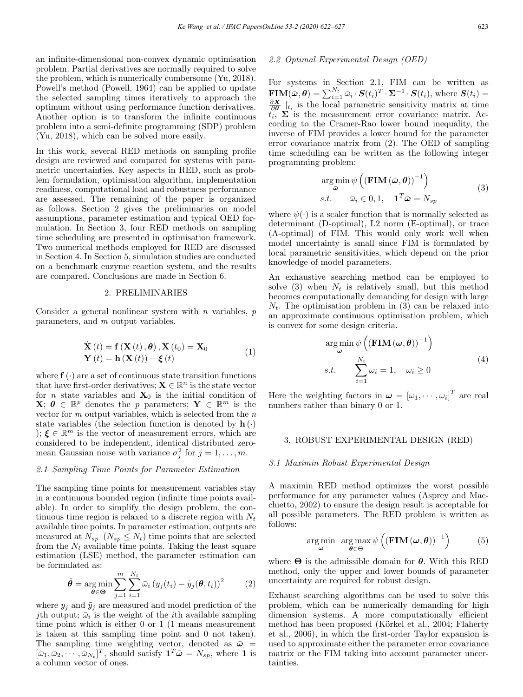an infinite-dimensional non-convex dynamic optimisation problem. Partial derivatives are normally required to solve the problem, which is numerically cumbersome (Yu, 2018). Powell's method (Powell, 1964) can be applied to update the selected sampling times iteratively to approach the optimum without using performance function derivatives. Another option is to transform the infinite continuous problem into a semi-definite programming (SDP) problem (Yu, 2018), which can be solved more easily.

In this work, several RED methods on sampling profile design are reviewed and compared for systems with parametric uncertainties. Key aspects in RED, such as problem formulation, optimisation algorithm, implementation readiness, computational load and robustness performance are assessed. The remaining of the paper is organized as follows. Section 2 gives the preliminaries on model assumptions, parameter estimation and typical OED formulation. In Section 3, four RED methods on sampling time scheduling are presented in optimisation framework. Two numerical methods employed for RED are discussed in Section 4. In Section 5, simulation studies are conducted on a benchmark enzyme reaction system, and the results are compared. Conclusions are made in Section 6.

#### 2. PRELIMINARIES

Consider a general nonlinear system with  $n$  variables,  $p$ parameters, and m output variables.

$$
\dot{\mathbf{X}}(t) = \mathbf{f}(\mathbf{X}(t), \boldsymbol{\theta}), \mathbf{X}(t_0) = \mathbf{X}_0
$$
  
\n
$$
\mathbf{Y}(t) = \mathbf{h}(\mathbf{X}(t)) + \boldsymbol{\xi}(t)
$$
\n(1)

where  $f(\cdot)$  are a set of continuous state transition functions that have first-order derivatives;  $\mathbf{X} \in \mathbb{R}^n$  is the state vector for *n* state variables and  $X_0$  is the initial condition of  $\mathbf{X}; \boldsymbol{\theta} \in \mathbb{R}^p$  denotes the p parameters;  $\mathbf{Y} \in \mathbb{R}^m$  is the vector for  $m$  output variables, which is selected from the  $n$ state variables (the selection function is denoted by  $h(\cdot)$ );  $\xi \in \mathbb{R}^m$  is the vector of measurement errors, which are considered to be independent, identical distributed zeromean Gaussian noise with variance  $\sigma_j^2$  for  $j = 1, \ldots, m$ .

# 2.1 Sampling Time Points for Parameter Estimation

The sampling time points for measurement variables stay in a continuous bounded region (infinite time points available). In order to simplify the design problem, the continuous time region is relaxed to a discrete region with  $N_t$ available time points. In parameter estimation, outputs are measured at  $N_{sp}$   $(N_{sp} \leq N_t)$  time points that are selected from the  $N_t$  available time points. Taking the least square estimation (LSE) method, the parameter estimation can be formulated as:

$$
\hat{\boldsymbol{\theta}} = \underset{\boldsymbol{\theta} \in \boldsymbol{\Theta}}{\arg \min} \sum_{j=1}^{m} \sum_{i=1}^{N_t} \bar{\omega}_i \left( y_j(t_i) - \tilde{y}_j(\boldsymbol{\theta}, t_i) \right)^2 \tag{2}
$$

where  $y_j$  and  $\tilde{y}_j$  are measured and model prediction of the jth output;  $\bar{\omega}_i$  is the weight of the *i*th available sampling time point which is either 0 or 1 (1 means measurement is taken at this sampling time point and 0 not taken). The sampling time weighting vector, denoted as  $\bar{\omega}$  =  $[\bar{\omega}_1, \bar{\omega}_2, \cdots, \bar{\omega}_{N_t}]^T$ , should satisfy  $\mathbf{1}^T \bar{\boldsymbol{\omega}} = N_{sp}$ , where 1 is a column vector of ones.

#### 2.2 Optimal Experimental Design (OED)

For systems in Section 2.1, FIM can be written as  $\mathbf{FIM}(\bar{\boldsymbol{\omega}}, \boldsymbol{\theta}) = \sum_{i=1}^{N_t} \bar{\omega}_i \cdot \boldsymbol{S}(t_i)^T \cdot \boldsymbol{\Sigma}^{-1} \cdot \boldsymbol{S}(t_i)$ , where  $\boldsymbol{S}(t_i) =$  $\frac{\partial X}{\partial \theta}\Big|_{t_i}$  is the local parametric sensitivity matrix at time  $t_i$ ,  $\Sigma$  is the measurement error covariance matrix. According to the Cramer-Rao lower bound inequality, the inverse of FIM provides a lower bound for the parameter error covariance matrix from (2). The OED of sampling time scheduling can be written as the following integer programming problem:

$$
\arg\min_{\bar{\omega}} \psi \left( \left( \mathbf{FIM} \left( \bar{\omega}, \boldsymbol{\theta} \right) \right)^{-1} \right) s.t. \quad \bar{\omega}_i \in 0, 1, \quad \mathbf{1}^T \bar{\omega} = N_{sp}
$$
 (3)

where  $\psi(\cdot)$  is a scaler function that is normally selected as determinant (D-optimal), L2 norm (E-optimal), or trace (A-optimal) of FIM. This would only work well when model uncertainty is small since FIM is formulated by local parametric sensitivities, which depend on the prior knowledge of model parameters.

An exhaustive searching method can be employed to solve (3) when  $N_t$  is relatively small, but this method becomes computationally demanding for design with large  $N_t$ . The optimisation problem in (3) can be relaxed into an approximate continuous optimisation problem, which is convex for some design criteria.

$$
\argmin_{\boldsymbol{\omega}} \psi\left((\mathbf{FIM}(\boldsymbol{\omega}, \boldsymbol{\theta}))^{-1}\right)
$$
  
s.t. 
$$
\sum_{i=1}^{N_t} \omega_i = 1, \quad \omega_i \ge 0
$$
 (4)

Here the weighting factors in  $\boldsymbol{\omega} = [\omega_1, \cdots, \omega_i]^T$  are real numbers rather than binary 0 or 1.

#### 3. ROBUST EXPERIMENTAL DESIGN (RED)

#### 3.1 Maximin Robust Experimental Design

A maximin RED method optimizes the worst possible performance for any parameter values (Asprey and Macchietto, 2002) to ensure the design result is acceptable for all possible parameters. The RED problem is written as follows:

$$
\underset{\boldsymbol{\omega}}{\arg\min} \ \ \underset{\boldsymbol{\theta}\in\Theta}{\arg\max} \ \psi\left(\left(\textbf{FIM}\left(\boldsymbol{\omega},\boldsymbol{\theta}\right)\right)^{-1}\right) \tag{5}
$$

where  $\Theta$  is the admissible domain for  $\theta$ . With this RED method, only the upper and lower bounds of parameter uncertainty are required for robust design.

Exhaust searching algorithms can be used to solve this problem, which can be numerically demanding for high dimension systems. A more computationally efficient method has been proposed (Körkel et al., 2004; Flaherty et al., 2006), in which the first-order Taylor expansion is used to approximate either the parameter error covariance matrix or the FIM taking into account parameter uncertainties.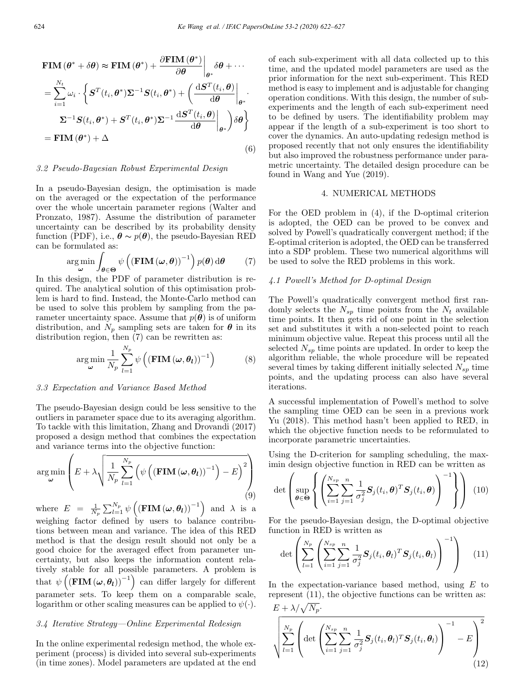$$
\mathbf{FIM}(\theta^* + \delta\theta) \approx \mathbf{FIM}(\theta^*) + \frac{\partial \mathbf{FIM}(\theta^*)}{\partial \theta}\Big|_{\theta^*} \delta\theta + \cdots
$$
\n
$$
= \sum_{i=1}^{N_t} \omega_i \cdot \left\{ \mathbf{S}^T(t_i, \theta^*) \boldsymbol{\Sigma}^{-1} \mathbf{S}(t_i, \theta^*) + \left( \frac{\mathrm{d}\mathbf{S}^T(t_i, \theta)}{\mathrm{d}\theta} \Big|_{\theta^*} \right. \cdot \right.
$$
\n
$$
\boldsymbol{\Sigma}^{-1} \mathbf{S}(t_i, \theta^*) + \mathbf{S}^T(t_i, \theta^*) \boldsymbol{\Sigma}^{-1} \frac{\mathrm{d}\mathbf{S}^T(t_i, \theta)}{\mathrm{d}\theta} \Big|_{\theta^*} \right\rangle \delta\theta \right\}
$$
\n
$$
= \mathbf{FIM}(\theta^*) + \Delta \tag{6}
$$

#### 3.2 Pseudo-Bayesian Robust Experimental Design

In a pseudo-Bayesian design, the optimisation is made on the averaged or the expectation of the performance over the whole uncertain parameter regions (Walter and Pronzato, 1987). Assume the distribution of parameter uncertainty can be described by its probability density function (PDF), i.e.,  $\boldsymbol{\theta} \sim p(\boldsymbol{\theta})$ , the pseudo-Bayesian RED can be formulated as:

$$
\arg\min_{\boldsymbol{\omega}} \int_{\boldsymbol{\theta}\in\Theta} \psi\left( \left( \mathbf{FIM}\left(\boldsymbol{\omega},\boldsymbol{\theta}\right) \right)^{-1} \right) p(\boldsymbol{\theta}) \,d\boldsymbol{\theta} \tag{7}
$$

In this design, the PDF of parameter distribution is required. The analytical solution of this optimisation problem is hard to find. Instead, the Monte-Carlo method can be used to solve this problem by sampling from the parameter uncertainty space. Assume that  $p(\theta)$  is of uniform distribution, and  $N_p$  sampling sets are taken for  $\theta$  in its distribution region, then (7) can be rewritten as:

$$
\arg\min_{\boldsymbol{\omega}} \frac{1}{N_p} \sum_{l=1}^{N_p} \psi\left( (\mathbf{FIM}(\boldsymbol{\omega}, \boldsymbol{\theta}_l))^{-1} \right)
$$
(8)

#### 3.3 Expectation and Variance Based Method

The pseudo-Bayesian design could be less sensitive to the outliers in parameter space due to its averaging algorithm. To tackle with this limitation, Zhang and Drovandi (2017) proposed a design method that combines the expectation and variance terms into the objective function:

$$
\arg\min_{\boldsymbol{\omega}} \left( E + \lambda \sqrt{\frac{1}{N_p} \sum_{l=1}^{N_p} \left( \psi \left( (\mathbf{FIM}(\boldsymbol{\omega}, \boldsymbol{\theta}_l))^{-1} \right) - E \right)^2} \right) \tag{9}
$$

where  $E = \frac{1}{N_p} \sum_{l=1}^{N_p} \psi\left( (\text{FIM}(\omega, \theta_l))^{-1} \right)$  and  $\lambda$  is a weighing factor defined by users to balance contributions between mean and variance. The idea of this RED method is that the design result should not only be a good choice for the averaged effect from parameter uncertainty, but also keeps the information content relatively stable for all possible parameters. A problem is that  $\psi\left((\text{FIM}\left(\omega,\theta_{l}\right))^{-1}\right)$  can differ largely for different parameter sets. To keep them on a comparable scale, logarithm or other scaling measures can be applied to  $\psi(\cdot)$ .

#### 3.4 Iterative Strategy—Online Experimental Redesign

In the online experimental redesign method, the whole experiment (process) is divided into several sub-experiments (in time zones). Model parameters are updated at the end

of each sub-experiment with all data collected up to this time, and the updated model parameters are used as the prior information for the next sub-experiment. This RED method is easy to implement and is adjustable for changing operation conditions. With this design, the number of subexperiments and the length of each sub-experiment need to be defined by users. The identifiability problem may appear if the length of a sub-experiment is too short to cover the dynamics. An auto-updating redesign method is proposed recently that not only ensures the identifiability but also improved the robustness performance under parametric uncertainty. The detailed design procedure can be found in Wang and Yue (2019).

#### 4. NUMERICAL METHODS

For the OED problem in (4), if the D-optimal criterion is adopted, the OED can be proved to be convex and solved by Powell's quadratically convergent method; if the E-optimal criterion is adopted, the OED can be transferred into a SDP problem. These two numerical algorithms will be used to solve the RED problems in this work.

## 4.1 Powell's Method for D-optimal Design

The Powell's quadratically convergent method first randomly selects the  $N_{sp}$  time points from the  $N_t$  available time points. It then gets rid of one point in the selection set and substitutes it with a non-selected point to reach minimum objective value. Repeat this process until all the selected  $N_{sp}$  time points are updated. In order to keep the algorithm reliable, the whole procedure will be repeated several times by taking different initially selected  $N_{sp}$  time points, and the updating process can also have several iterations.

A successful implementation of Powell's method to solve the sampling time OED can be seen in a previous work Yu (2018). This method hasn't been applied to RED, in which the objective function needs to be reformulated to incorporate parametric uncertainties.

Using the D-criterion for sampling scheduling, the maximin design objective function in RED can be written as

$$
\det \left( \sup_{\boldsymbol{\theta} \in \Theta} \left\{ \left( \sum_{i=1}^{N_{sp}} \sum_{j=1}^{n} \frac{1}{\sigma_j^2} \mathbf{S}_j(t_i, \boldsymbol{\theta})^T \mathbf{S}_j(t_i, \boldsymbol{\theta}) \right)^{-1} \right\} \right) \tag{10}
$$

For the pseudo-Bayesian design, the D-optimal objective function in RED is written as

$$
\det \left( \sum_{l=1}^{N_p} \left( \sum_{i=1}^{N_{sp}} \sum_{j=1}^n \frac{1}{\sigma_j^2} \mathbf{S}_j(t_i, \theta_l)^T \mathbf{S}_j(t_i, \theta_l) \right)^{-1} \right) \quad (11)
$$

In the expectation-variance based method, using  $E$  to represent (11), the objective functions can be written as:  $E \perp \lambda / \sqrt{N}$ 

$$
\sqrt{\sum_{l=1}^{N_p} \left( \det \left( \sum_{i=1}^{N_{sp}} \sum_{j=1}^n \frac{1}{\sigma_j^2} \mathbf{S}_j(t_i, \boldsymbol{\theta}_l)^T \mathbf{S}_j(t_i, \boldsymbol{\theta}_l) \right)^{-1} - E \right)^2}
$$
(12)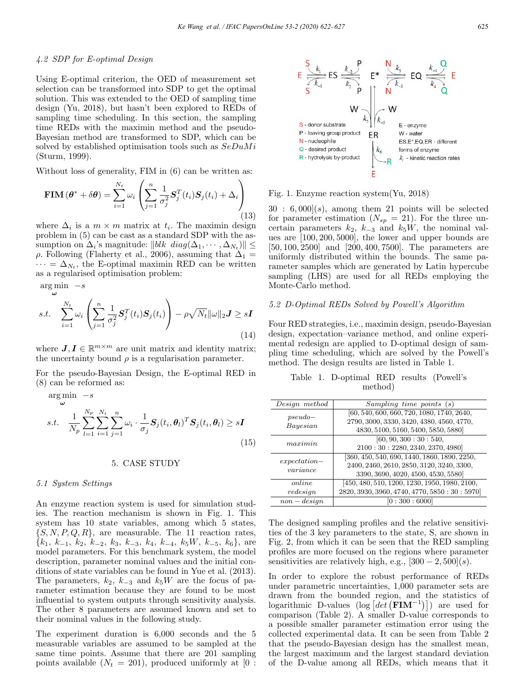## 4.2 SDP for E-optimal Design

Using E-optimal criterion, the OED of measurement set selection can be transformed into SDP to get the optimal solution. This was extended to the OED of sampling time design (Yu, 2018), but hasn't been explored to REDs of sampling time scheduling. In this section, the sampling time REDs with the maximin method and the pseudo-Bayesian method are transformed to SDP, which can be solved by established optimisation tools such as  $SeDuMi$ (Sturm, 1999).

Without loss of generality, FIM in  $(6)$  can be written as:

$$
\mathbf{FIM}(\boldsymbol{\theta}^* + \delta \boldsymbol{\theta}) = \sum_{i=1}^{N_t} \omega_i \left( \sum_{j=1}^n \frac{1}{\sigma_j^2} \mathbf{S}_j^T(t_i) \mathbf{S}_j(t_i) + \Delta_i \right)
$$
(13)

where  $\Delta_i$  is a  $m \times m$  matrix at  $t_i$ . The maximin design problem in (5) can be cast as a standard SDP with the assumption on  $\Delta_i$ 's magnitude:  $||blk \text{ diag}(\Delta_1, \cdots, \Delta_{N_t})|| \leq$ ρ. Following (Flaherty et al., 2006), assuming that  $\Delta_1 =$  $\cdots = \Delta_{N_t}$ , the E-optimal maximin RED can be written as a regularised optimisation problem:

$$
\arg\min_{\omega} -s
$$
  
s.t. 
$$
\sum_{i=1}^{N_t} \omega_i \left( \sum_{j=1}^n \frac{1}{\sigma_j^2} \mathbf{S}_j^T(t_i) \mathbf{S}_j(t_i) \right) - \rho \sqrt{N_t} ||\omega||_2 \mathbf{J} \ge s\mathbf{I}
$$
(14)

where  $J, I \in \mathbb{R}^{m \times m}$  are unit matrix and identity matrix; the uncertainty bound  $\rho$  is a regularisation parameter.

For the pseudo-Bayesian Design, the E-optimal RED in (8) can be reformed as:

$$
\arg\min_{\omega} -s
$$
\n
$$
s.t. \quad \frac{1}{N_p} \sum_{l=1}^{N_p} \sum_{i=1}^{N_t} \sum_{j=1}^n \omega_i \cdot \frac{1}{\sigma_j} \mathbf{S}_j(t_i, \theta_l)^T \mathbf{S}_j(t_i, \theta_l) \geq s\mathbf{I}
$$
\n
$$
(15)
$$

#### 5. CASE STUDY

#### 5.1 System Settings

An enzyme reaction system is used for simulation studies. The reaction mechanism is shown in Fig. 1. This system has 10 state variables, among which 5 states,  $\{S, N, P, Q, R\}$ , are measurable. The 11 reaction rates,  ${k_1, k_{-1}, k_2, k_{-2}, k_3, k_{-3}, k_4, k_{-4}, k_5W, k_{-5}, k_6},$  are model parameters. For this benchmark system, the model description, parameter nominal values and the initial conditions of state variables can be found in Yue et al. (2013). The parameters,  $k_2$ ,  $k_{-3}$  and  $k_5W$  are the focus of parameter estimation because they are found to be most influential to system outputs through sensitivity analysis. The other 8 parameters are assumed known and set to their nominal values in the following study.

The experiment duration is 6,000 seconds and the 5 measurable variables are assumed to be sampled at the same time points. Assume that there are 201 sampling points available  $(N_t = 201)$ , produced uniformly at [0 :



Fig. 1. Enzyme reaction system(Yu, 2018)

 $30 : 6,000(s)$ , among them 21 points will be selected for parameter estimation  $(N_{sp} = 21)$ . For the three uncertain parameters  $k_2$ ,  $k_{-3}$  and  $k_5W$ , the nominal values are [100, 200, 5000], the lower and upper bounds are [50, 100, 2500] and [200, 400, 7500]. The parameters are uniformly distributed within the bounds. The same parameter samples which are generated by Latin hypercube sampling (LHS) are used for all REDs employing the Monte-Carlo method.

# 5.2 D-Optimal REDs Solved by Powell's Algorithm

Four RED strategies, i.e., maximin design, pseudo-Bayesian design, expectation–variance method, and online experimental redesign are applied to D-optimal design of sampling time scheduling, which are solved by the Powell's method. The design results are listed in Table 1.

|  | Table 1. D-optimal RED results (Powell's |         |  |
|--|------------------------------------------|---------|--|
|  |                                          | method) |  |

| Design method  | Sampling time points(s)                         |
|----------------|-------------------------------------------------|
| $pseudo-$      | [60, 540, 600, 660, 720, 1080, 1740, 2640,      |
| Bayesian       | 2790, 3000, 3330, 3420, 4380, 4560, 4770,       |
|                | 4830, 5100, 5160, 5400, 5850, 5880              |
| maximin        | [60, 90, 300 : 30 : 540,                        |
|                | 2100:30:2280, 2340, 2370, 4980]                 |
| $expectation-$ | [360, 450, 540, 690, 1440, 1860, 1890, 2250,    |
| variance       | 2400, 2460, 2610, 2850, 3120, 3240, 3300,       |
|                | 3390, 3690, 4020, 4500, 4530, 5580]             |
| online         | [450, 480, 510, 1200, 1230, 1950, 1980, 2100,   |
| redesign       | 2820, 3930, 3960, 4740, 4770, 5850 : 30 : 5970] |
| $non-design$   | $\left[0:300:6000\right]$                       |

The designed sampling profiles and the relative sensitivities of the 3 key parameters to the state, S, are shown in Fig. 2, from which it can be seen that the RED sampling profiles are more focused on the regions where parameter sensitivities are relatively high, e.g.,  $[300 - 2, 500](s)$ .

In order to explore the robust performance of REDs under parametric uncertainties, 1,000 parameter sets are drawn from the bounded region, and the statistics of logarithmic D-values (log  $\left[ det\left( \mathbf{FIM}^{-1} \right) \right]$ ) are used for comparison (Table 2). A smaller D-value corresponds to a possible smaller parameter estimation error using the collected experimental data. It can be seen from Table 2 that the pseudo-Bayesian design has the smallest mean, the largest maximum and the largest standard deviation of the D-value among all REDs, which means that it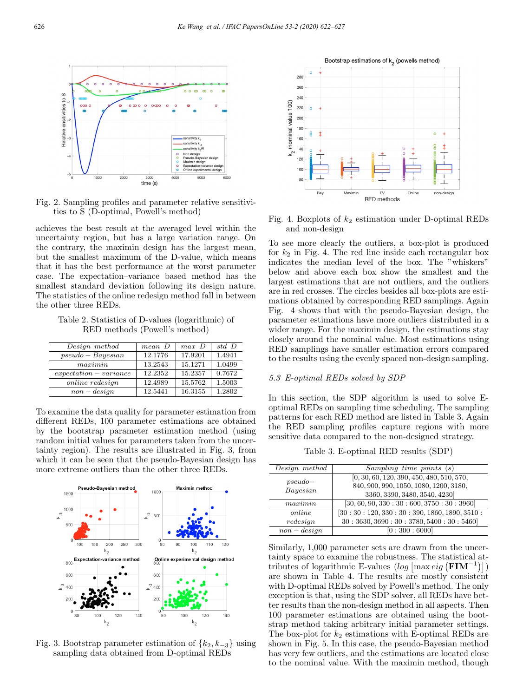

Fig. 2. Sampling profiles and parameter relative sensitivities to S (D-optimal, Powell's method)

achieves the best result at the averaged level within the uncertainty region, but has a large variation range. On the contrary, the maximin design has the largest mean, but the smallest maximum of the D-value, which means that it has the best performance at the worst parameter case. The expectation–variance based method has the smallest standard deviation following its design nature. The statistics of the online redesign method fall in between the other three REDs.

Table 2. Statistics of D-values (logarithmic) of RED methods (Powell's method)

| Design method          | mean D  | $max\ D$ | std D  |
|------------------------|---------|----------|--------|
| $pseudo-Bayesian$      | 12.1776 | 17.9201  | 1.4941 |
| maximum                | 13.2543 | 15.1271  | 1.0499 |
| $expectation-variance$ | 12.2352 | 15.2357  | 0.7672 |
| <i>online</i> redesign | 12.4989 | 15.5762  | 1.5003 |
| $non-design$           | 12.5441 | 16.3155  | 1.2802 |

To examine the data quality for parameter estimation from different REDs, 100 parameter estimations are obtained by the bootstrap parameter estimation method (using random initial values for parameters taken from the uncertainty region). The results are illustrated in Fig. 3, from which it can be seen that the pseudo-Bayesian design has more extreme outliers than the other three REDs.



Fig. 3. Bootstrap parameter estimation of  $\{k_2, k_{-3}\}\$ using sampling data obtained from D-optimal REDs



Fig. 4. Boxplots of  $k_2$  estimation under D-optimal REDs and non-design

To see more clearly the outliers, a box-plot is produced for  $k_2$  in Fig. 4. The red line inside each rectangular box indicates the median level of the box. The "whiskers" below and above each box show the smallest and the largest estimations that are not outliers, and the outliers are in red crosses. The circles besides all box-plots are estimations obtained by corresponding RED samplings. Again Fig. 4 shows that with the pseudo-Bayesian design, the parameter estimations have more outliers distributed in a wider range. For the maximin design, the estimations stay closely around the nominal value. Most estimations using RED samplings have smaller estimation errors compared to the results using the evenly spaced non-design sampling.

#### 5.3 E-optimal REDs solved by SDP

In this section, the SDP algorithm is used to solve Eoptimal REDs on sampling time scheduling. The sampling patterns for each RED method are listed in Table 3. Again the RED sampling profiles capture regions with more sensitive data compared to the non-designed strategy.

Table 3. E-optimal RED results (SDP)

| Design method | Sampling time points(s)                          |
|---------------|--------------------------------------------------|
| $pseudo-$     | $[0, 30, 60, 120, 390, 450, 480, 510, 570,$      |
| Bayesian      | 840, 900, 990, 1050, 1080, 1200, 3180,           |
|               | 3360, 3390, 3480, 3540, 4230]                    |
| maximin       | $[30, 60, 90, 330 : 30 : 600, 3750 : 30 : 3960]$ |
| online        | [30:30:120,330:30:390,1860,1890,3510:            |
| redesign      | 30:3630,3690:30:3780,5400:30:5460                |
| $non-design$  | [0:300:6000]                                     |

Similarly, 1,000 parameter sets are drawn from the uncertainty space to examine the robustness. The statistical attributes of logarithmic E-values  $(log \left[\max eig (\mathbf{FIM}^{-1})\right])$ are shown in Table 4. The results are mostly consistent with D-optimal REDs solved by Powell's method. The only exception is that, using the SDP solver, all REDs have better results than the non-design method in all aspects. Then 100 parameter estimations are obtained using the bootstrap method taking arbitrary initial parameter settings. The box-plot for  $k_2$  estimations with E-optimal REDs are shown in Fig. 5. In this case, the pseudo-Bayesian method has very few outliers, and the estimations are located close to the nominal value. With the maximin method, though